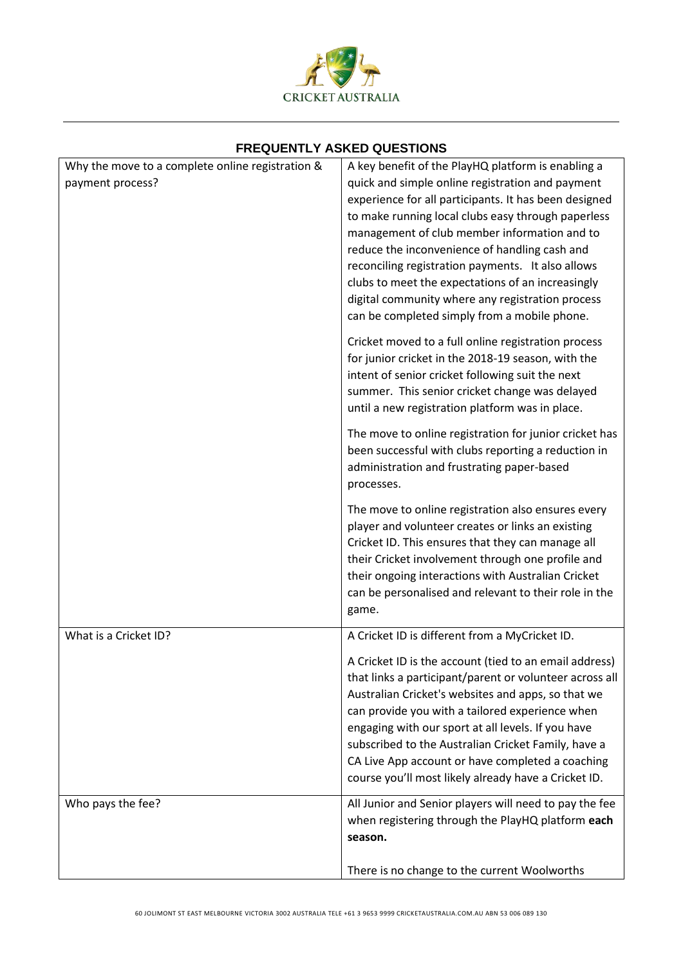

## **FREQUENTLY ASKED QUESTIONS**

| Why the move to a complete online registration & | A key benefit of the PlayHQ platform is enabling a                                                                |
|--------------------------------------------------|-------------------------------------------------------------------------------------------------------------------|
| payment process?                                 | quick and simple online registration and payment                                                                  |
|                                                  | experience for all participants. It has been designed                                                             |
|                                                  | to make running local clubs easy through paperless<br>management of club member information and to                |
|                                                  | reduce the inconvenience of handling cash and                                                                     |
|                                                  | reconciling registration payments. It also allows                                                                 |
|                                                  | clubs to meet the expectations of an increasingly                                                                 |
|                                                  | digital community where any registration process                                                                  |
|                                                  | can be completed simply from a mobile phone.                                                                      |
|                                                  | Cricket moved to a full online registration process                                                               |
|                                                  | for junior cricket in the 2018-19 season, with the<br>intent of senior cricket following suit the next            |
|                                                  | summer. This senior cricket change was delayed                                                                    |
|                                                  | until a new registration platform was in place.                                                                   |
|                                                  | The move to online registration for junior cricket has                                                            |
|                                                  | been successful with clubs reporting a reduction in                                                               |
|                                                  | administration and frustrating paper-based<br>processes.                                                          |
|                                                  |                                                                                                                   |
|                                                  | The move to online registration also ensures every<br>player and volunteer creates or links an existing           |
|                                                  | Cricket ID. This ensures that they can manage all                                                                 |
|                                                  | their Cricket involvement through one profile and                                                                 |
|                                                  | their ongoing interactions with Australian Cricket                                                                |
|                                                  | can be personalised and relevant to their role in the<br>game.                                                    |
| What is a Cricket ID?                            | A Cricket ID is different from a MyCricket ID.                                                                    |
|                                                  |                                                                                                                   |
|                                                  | A Cricket ID is the account (tied to an email address)<br>that links a participant/parent or volunteer across all |
|                                                  | Australian Cricket's websites and apps, so that we                                                                |
|                                                  | can provide you with a tailored experience when                                                                   |
|                                                  | engaging with our sport at all levels. If you have                                                                |
|                                                  | subscribed to the Australian Cricket Family, have a<br>CA Live App account or have completed a coaching           |
|                                                  | course you'll most likely already have a Cricket ID.                                                              |
| Who pays the fee?                                | All Junior and Senior players will need to pay the fee                                                            |
|                                                  | when registering through the PlayHQ platform each                                                                 |
|                                                  | season.                                                                                                           |
|                                                  | There is no change to the current Woolworths                                                                      |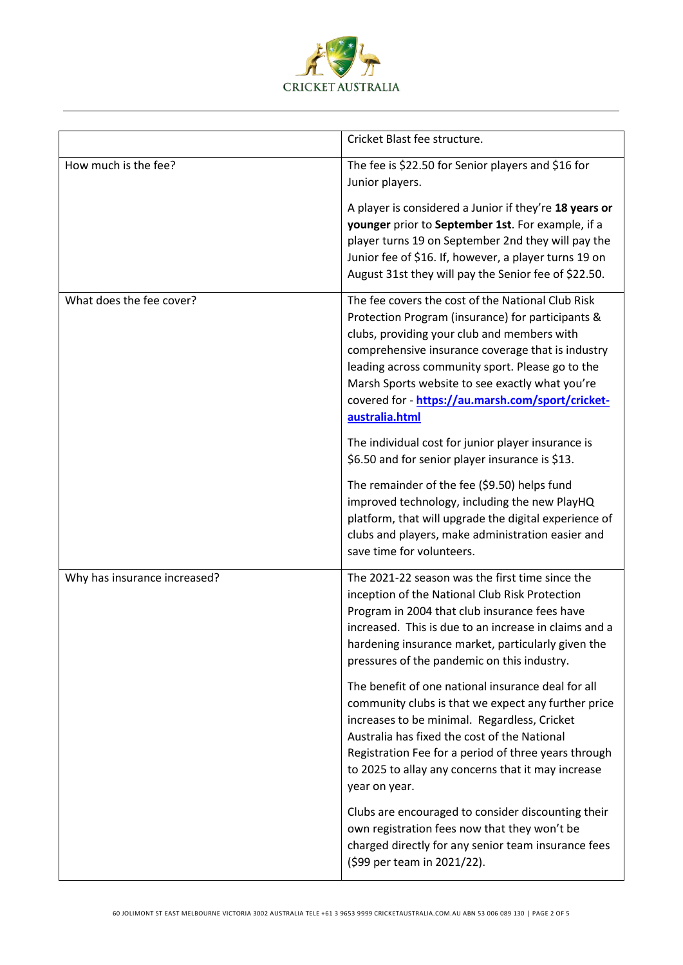

|                              | Cricket Blast fee structure.                                                                                                                                                                                                                                                                                                                                                             |
|------------------------------|------------------------------------------------------------------------------------------------------------------------------------------------------------------------------------------------------------------------------------------------------------------------------------------------------------------------------------------------------------------------------------------|
| How much is the fee?         | The fee is \$22.50 for Senior players and \$16 for<br>Junior players.                                                                                                                                                                                                                                                                                                                    |
|                              | A player is considered a Junior if they're 18 years or<br>younger prior to September 1st. For example, if a<br>player turns 19 on September 2nd they will pay the<br>Junior fee of \$16. If, however, a player turns 19 on<br>August 31st they will pay the Senior fee of \$22.50.                                                                                                       |
| What does the fee cover?     | The fee covers the cost of the National Club Risk<br>Protection Program (insurance) for participants &<br>clubs, providing your club and members with<br>comprehensive insurance coverage that is industry<br>leading across community sport. Please go to the<br>Marsh Sports website to see exactly what you're<br>covered for - https://au.marsh.com/sport/cricket-<br>australia.html |
|                              | The individual cost for junior player insurance is<br>\$6.50 and for senior player insurance is \$13.                                                                                                                                                                                                                                                                                    |
|                              | The remainder of the fee (\$9.50) helps fund<br>improved technology, including the new PlayHQ<br>platform, that will upgrade the digital experience of<br>clubs and players, make administration easier and<br>save time for volunteers.                                                                                                                                                 |
| Why has insurance increased? | The 2021-22 season was the first time since the<br>inception of the National Club Risk Protection<br>Program in 2004 that club insurance fees have<br>increased. This is due to an increase in claims and a<br>hardening insurance market, particularly given the<br>pressures of the pandemic on this industry.                                                                         |
|                              | The benefit of one national insurance deal for all<br>community clubs is that we expect any further price<br>increases to be minimal. Regardless, Cricket<br>Australia has fixed the cost of the National<br>Registration Fee for a period of three years through<br>to 2025 to allay any concerns that it may increase<br>year on year.                                                 |
|                              | Clubs are encouraged to consider discounting their<br>own registration fees now that they won't be<br>charged directly for any senior team insurance fees<br>(\$99 per team in 2021/22).                                                                                                                                                                                                 |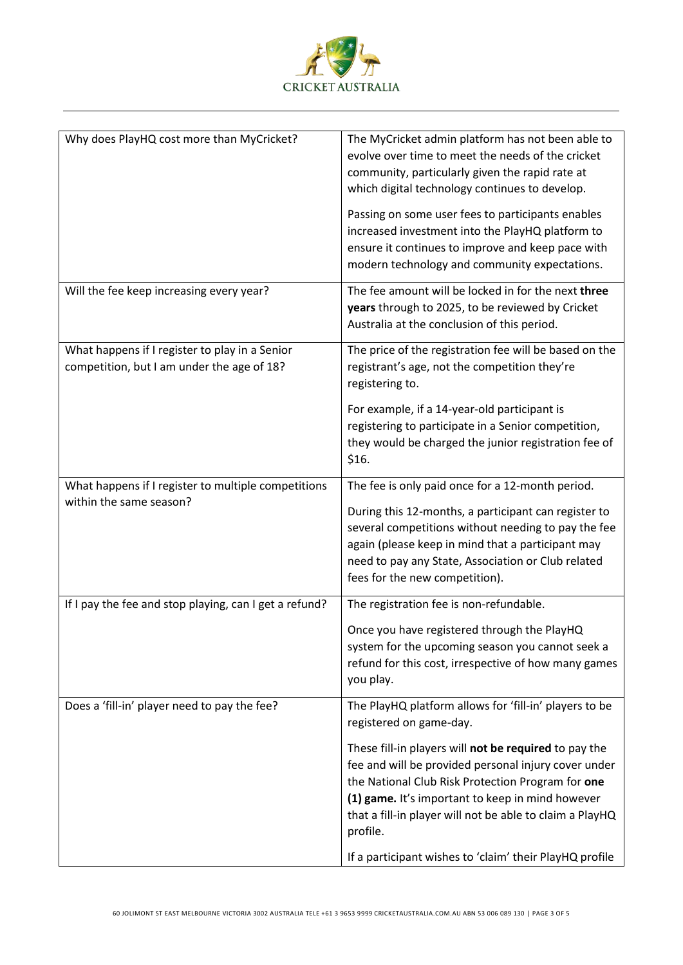

| Why does PlayHQ cost more than MyCricket?                                                    | The MyCricket admin platform has not been able to<br>evolve over time to meet the needs of the cricket<br>community, particularly given the rapid rate at<br>which digital technology continues to develop.<br>Passing on some user fees to participants enables<br>increased investment into the PlayHQ platform to<br>ensure it continues to improve and keep pace with<br>modern technology and community expectations. |
|----------------------------------------------------------------------------------------------|----------------------------------------------------------------------------------------------------------------------------------------------------------------------------------------------------------------------------------------------------------------------------------------------------------------------------------------------------------------------------------------------------------------------------|
|                                                                                              |                                                                                                                                                                                                                                                                                                                                                                                                                            |
| Will the fee keep increasing every year?                                                     | The fee amount will be locked in for the next three<br>years through to 2025, to be reviewed by Cricket<br>Australia at the conclusion of this period.                                                                                                                                                                                                                                                                     |
| What happens if I register to play in a Senior<br>competition, but I am under the age of 18? | The price of the registration fee will be based on the<br>registrant's age, not the competition they're<br>registering to.                                                                                                                                                                                                                                                                                                 |
|                                                                                              | For example, if a 14-year-old participant is<br>registering to participate in a Senior competition,<br>they would be charged the junior registration fee of<br>\$16.                                                                                                                                                                                                                                                       |
| What happens if I register to multiple competitions                                          | The fee is only paid once for a 12-month period.                                                                                                                                                                                                                                                                                                                                                                           |
| within the same season?                                                                      | During this 12-months, a participant can register to<br>several competitions without needing to pay the fee<br>again (please keep in mind that a participant may<br>need to pay any State, Association or Club related<br>fees for the new competition).                                                                                                                                                                   |
| If I pay the fee and stop playing, can I get a refund?                                       | The registration fee is non-refundable.                                                                                                                                                                                                                                                                                                                                                                                    |
|                                                                                              | Once you have registered through the PlayHQ<br>system for the upcoming season you cannot seek a<br>refund for this cost, irrespective of how many games<br>you play.                                                                                                                                                                                                                                                       |
| Does a 'fill-in' player need to pay the fee?                                                 | The PlayHQ platform allows for 'fill-in' players to be<br>registered on game-day.                                                                                                                                                                                                                                                                                                                                          |
|                                                                                              | These fill-in players will not be required to pay the<br>fee and will be provided personal injury cover under<br>the National Club Risk Protection Program for one<br>(1) game. It's important to keep in mind however<br>that a fill-in player will not be able to claim a PlayHQ<br>profile.                                                                                                                             |
|                                                                                              | If a participant wishes to 'claim' their PlayHQ profile                                                                                                                                                                                                                                                                                                                                                                    |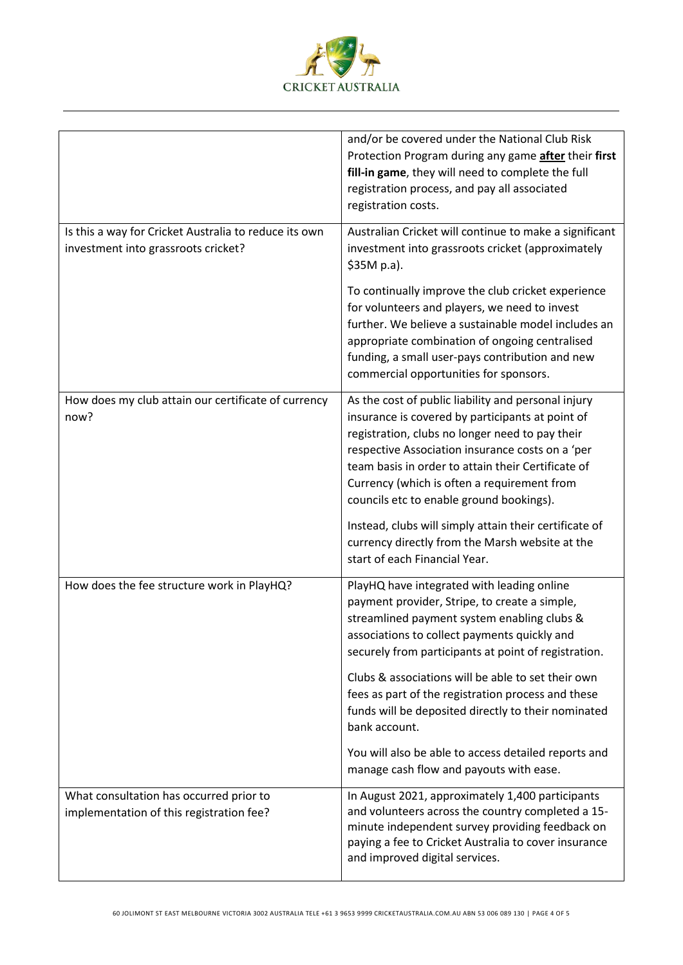

|                                                                                              | and/or be covered under the National Club Risk<br>Protection Program during any game after their first<br>fill-in game, they will need to complete the full<br>registration process, and pay all associated<br>registration costs.                                                                                                                                                                                                                                                                            |
|----------------------------------------------------------------------------------------------|---------------------------------------------------------------------------------------------------------------------------------------------------------------------------------------------------------------------------------------------------------------------------------------------------------------------------------------------------------------------------------------------------------------------------------------------------------------------------------------------------------------|
| Is this a way for Cricket Australia to reduce its own<br>investment into grassroots cricket? | Australian Cricket will continue to make a significant<br>investment into grassroots cricket (approximately<br>\$35M p.a).                                                                                                                                                                                                                                                                                                                                                                                    |
|                                                                                              | To continually improve the club cricket experience<br>for volunteers and players, we need to invest<br>further. We believe a sustainable model includes an<br>appropriate combination of ongoing centralised<br>funding, a small user-pays contribution and new<br>commercial opportunities for sponsors.                                                                                                                                                                                                     |
| How does my club attain our certificate of currency<br>now?                                  | As the cost of public liability and personal injury<br>insurance is covered by participants at point of<br>registration, clubs no longer need to pay their<br>respective Association insurance costs on a 'per<br>team basis in order to attain their Certificate of<br>Currency (which is often a requirement from<br>councils etc to enable ground bookings).<br>Instead, clubs will simply attain their certificate of<br>currency directly from the Marsh website at the<br>start of each Financial Year. |
| How does the fee structure work in PlayHQ?                                                   | PlayHQ have integrated with leading online<br>payment provider, Stripe, to create a simple,<br>streamlined payment system enabling clubs &<br>associations to collect payments quickly and<br>securely from participants at point of registration.                                                                                                                                                                                                                                                            |
|                                                                                              | Clubs & associations will be able to set their own<br>fees as part of the registration process and these<br>funds will be deposited directly to their nominated<br>bank account.                                                                                                                                                                                                                                                                                                                              |
|                                                                                              | You will also be able to access detailed reports and<br>manage cash flow and payouts with ease.                                                                                                                                                                                                                                                                                                                                                                                                               |
| What consultation has occurred prior to<br>implementation of this registration fee?          | In August 2021, approximately 1,400 participants<br>and volunteers across the country completed a 15-<br>minute independent survey providing feedback on<br>paying a fee to Cricket Australia to cover insurance<br>and improved digital services.                                                                                                                                                                                                                                                            |